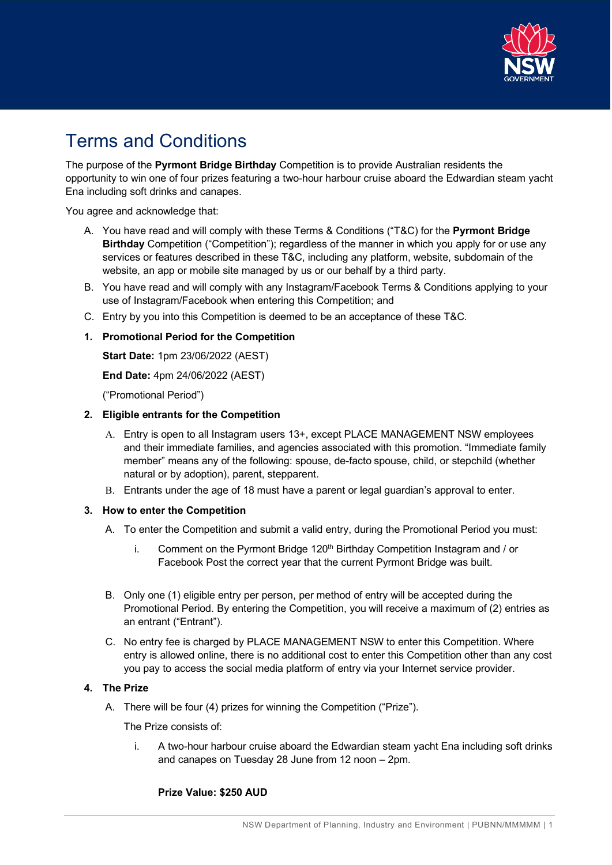

# Terms and Conditions

The purpose of the **Pyrmont Bridge Birthday** Competition is to provide Australian residents the opportunity to win one of four prizes featuring a two-hour harbour cruise aboard the Edwardian steam yacht Ena including soft drinks and canapes.

You agree and acknowledge that:

- A. You have read and will comply with these Terms & Conditions ("T&C) for the **Pyrmont Bridge Birthday** Competition ("Competition"); regardless of the manner in which you apply for or use any services or features described in these T&C, including any platform, website, subdomain of the website, an app or mobile site managed by us or our behalf by a third party.
- B. You have read and will comply with any Instagram/Facebook Terms & Conditions applying to your use of Instagram/Facebook when entering this Competition; and
- C. Entry by you into this Competition is deemed to be an acceptance of these T&C.

## **1. Promotional Period for the Competition**

**Start Date:** 1pm 23/06/2022 (AEST)

**End Date:** 4pm 24/06/2022 (AEST)

("Promotional Period")

### **2. Eligible entrants for the Competition**

- A. Entry is open to all Instagram users 13+, except PLACE MANAGEMENT NSW employees and their immediate families, and agencies associated with this promotion. "Immediate family member" means any of the following: spouse, de-facto spouse, child, or stepchild (whether natural or by adoption), parent, stepparent.
- B. Entrants under the age of 18 must have a parent or legal guardian's approval to enter.

#### **3. How to enter the Competition**

- A. To enter the Competition and submit a valid entry, during the Promotional Period you must:
	- i. Comment on the Pyrmont Bridge  $120<sup>th</sup>$  Birthday Competition Instagram and / or Facebook Post the correct year that the current Pyrmont Bridge was built.
- B. Only one (1) eligible entry per person, per method of entry will be accepted during the Promotional Period. By entering the Competition, you will receive a maximum of (2) entries as an entrant ("Entrant").
- C. No entry fee is charged by PLACE MANAGEMENT NSW to enter this Competition. Where entry is allowed online, there is no additional cost to enter this Competition other than any cost you pay to access the social media platform of entry via your Internet service provider.

#### **4. The Prize**

A. There will be four (4) prizes for winning the Competition ("Prize").

The Prize consists of:

i. A two-hour harbour cruise aboard the Edwardian steam yacht Ena including soft drinks and canapes on Tuesday 28 June from 12 noon – 2pm.

**Prize Value: \$250 AUD**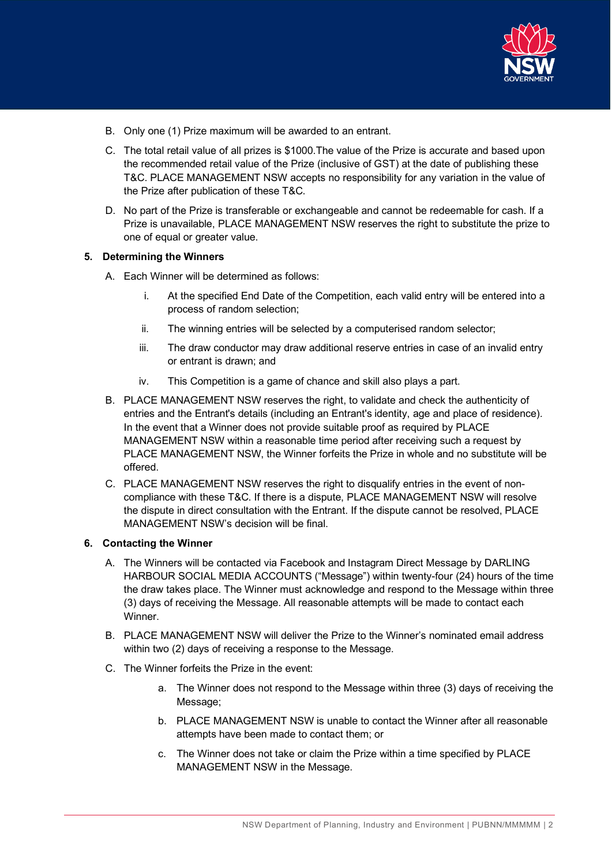

- B. Only one (1) Prize maximum will be awarded to an entrant.
- C. The total retail value of all prizes is \$1000.The value of the Prize is accurate and based upon the recommended retail value of the Prize (inclusive of GST) at the date of publishing these T&C. PLACE MANAGEMENT NSW accepts no responsibility for any variation in the value of the Prize after publication of these T&C.
- D. No part of the Prize is transferable or exchangeable and cannot be redeemable for cash. If a Prize is unavailable, PLACE MANAGEMENT NSW reserves the right to substitute the prize to one of equal or greater value.

#### **5. Determining the Winners**

- A. Each Winner will be determined as follows:
	- i. At the specified End Date of the Competition, each valid entry will be entered into a process of random selection;
	- ii. The winning entries will be selected by a computerised random selector;
	- iii. The draw conductor may draw additional reserve entries in case of an invalid entry or entrant is drawn; and
	- iv. This Competition is a game of chance and skill also plays a part.
- B. PLACE MANAGEMENT NSW reserves the right, to validate and check the authenticity of entries and the Entrant's details (including an Entrant's identity, age and place of residence). In the event that a Winner does not provide suitable proof as required by PLACE MANAGEMENT NSW within a reasonable time period after receiving such a request by PLACE MANAGEMENT NSW, the Winner forfeits the Prize in whole and no substitute will be offered.
- C. PLACE MANAGEMENT NSW reserves the right to disqualify entries in the event of noncompliance with these T&C. If there is a dispute, PLACE MANAGEMENT NSW will resolve the dispute in direct consultation with the Entrant. If the dispute cannot be resolved, PLACE MANAGEMENT NSW's decision will be final.

#### **6. Contacting the Winner**

- A. The Winners will be contacted via Facebook and Instagram Direct Message by DARLING HARBOUR SOCIAL MEDIA ACCOUNTS ("Message") within twenty-four (24) hours of the time the draw takes place. The Winner must acknowledge and respond to the Message within three (3) days of receiving the Message. All reasonable attempts will be made to contact each Winner.
- B. PLACE MANAGEMENT NSW will deliver the Prize to the Winner's nominated email address within two (2) days of receiving a response to the Message.
- C. The Winner forfeits the Prize in the event:
	- a. The Winner does not respond to the Message within three (3) days of receiving the Message;
	- b. PLACE MANAGEMENT NSW is unable to contact the Winner after all reasonable attempts have been made to contact them; or
	- c. The Winner does not take or claim the Prize within a time specified by PLACE MANAGEMENT NSW in the Message.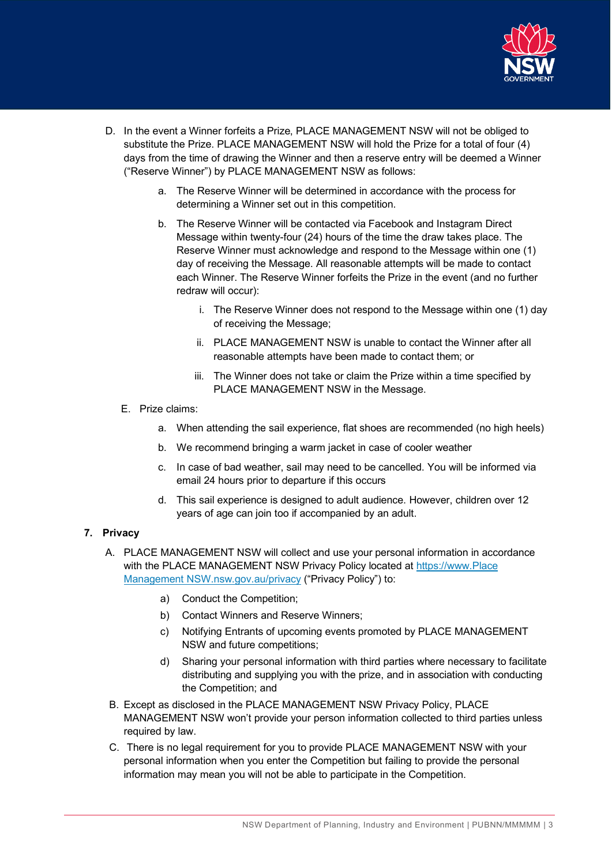

- D. In the event a Winner forfeits a Prize, PLACE MANAGEMENT NSW will not be obliged to substitute the Prize. PLACE MANAGEMENT NSW will hold the Prize for a total of four (4) days from the time of drawing the Winner and then a reserve entry will be deemed a Winner ("Reserve Winner") by PLACE MANAGEMENT NSW as follows:
	- a. The Reserve Winner will be determined in accordance with the process for determining a Winner set out in this competition.
	- b. The Reserve Winner will be contacted via Facebook and Instagram Direct Message within twenty-four (24) hours of the time the draw takes place. The Reserve Winner must acknowledge and respond to the Message within one (1) day of receiving the Message. All reasonable attempts will be made to contact each Winner. The Reserve Winner forfeits the Prize in the event (and no further redraw will occur):
		- i. The Reserve Winner does not respond to the Message within one (1) day of receiving the Message;
		- ii. PLACE MANAGEMENT NSW is unable to contact the Winner after all reasonable attempts have been made to contact them; or
		- iii. The Winner does not take or claim the Prize within a time specified by PLACE MANAGEMENT NSW in the Message.
	- E. Prize claims:
		- a. When attending the sail experience, flat shoes are recommended (no high heels)
		- b. We recommend bringing a warm jacket in case of cooler weather
		- c. In case of bad weather, sail may need to be cancelled. You will be informed via email 24 hours prior to departure if this occurs
		- d. This sail experience is designed to adult audience. However, children over 12 years of age can join too if accompanied by an adult.

## **7. Privacy**

- A. PLACE MANAGEMENT NSW will collect and use your personal information in accordance with the PLACE MANAGEMENT NSW Privacy Policy located at https://www.Place [Management NSW.nsw.gov.au/privacy](https://www.dpie.nsw.gov.au/privacy) ("Privacy Policy") to:
	- a) Conduct the Competition;
	- b) Contact Winners and Reserve Winners;
	- c) Notifying Entrants of upcoming events promoted by PLACE MANAGEMENT NSW and future competitions;
	- d) Sharing your personal information with third parties where necessary to facilitate distributing and supplying you with the prize, and in association with conducting the Competition; and
- B. Except as disclosed in the PLACE MANAGEMENT NSW Privacy Policy, PLACE MANAGEMENT NSW won't provide your person information collected to third parties unless required by law.
- C. There is no legal requirement for you to provide PLACE MANAGEMENT NSW with your personal information when you enter the Competition but failing to provide the personal information may mean you will not be able to participate in the Competition.